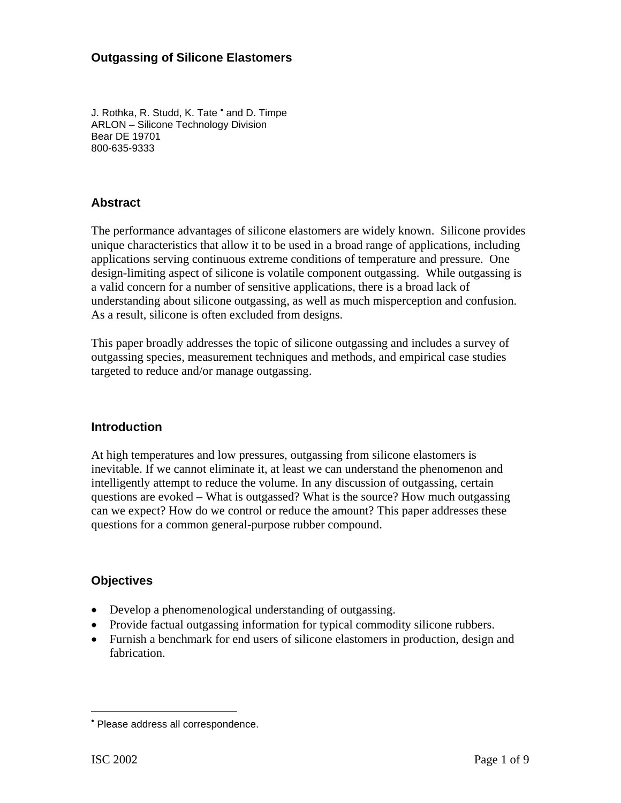#### **Outgassing of Silicone Elastomers**

J.Rothka, R. Studd, K. Tate ' and D. Timpe ARLON – Silicone Technology Division Bear DE 19701 800-635-9333

### **Abstract**

The performance advantages of silicone elastomers are widely known. Silicone provides unique characteristics that allow it to be used in a broad range of applications, including applications serving continuous extreme conditions of temperature and pressure. One design-limiting aspect of silicone is volatile component outgassing. While outgassing is a valid concern for a number of sensitive applications, there is a broad lack of understanding about silicone outgassing, as well as much misperception and confusion. As a result, silicone is often excluded from designs.

This paper broadly addresses the topic of silicone outgassing and includes a survey of outgassing species, measurement techniques and methods, and empirical case studies targeted to reduce and/or manage outgassing.

#### **Introduction**

At high temperatures and low pressures, outgassing from silicone elastomers is inevitable. If we cannot eliminate it, at least we can understand the phenomenon and intelligently attempt to reduce the volume. In any discussion of outgassing, certain questions are evoked – What is outgassed? What is the source? How much outgassing can we expect? How do we control or reduce the amount? This paper addresses these questions for a common general-purpose rubber compound.

#### **Objectives**

- Develop a phenomenological understanding of outgassing.
- Provide factual outgassing information for typical commodity silicone rubbers.
- Furnish a benchmark for end users of silicone elastomers in production, design and fabrication.

 $\overline{a}$ 

<span id="page-0-0"></span><sup>•</sup> Please address all correspondence.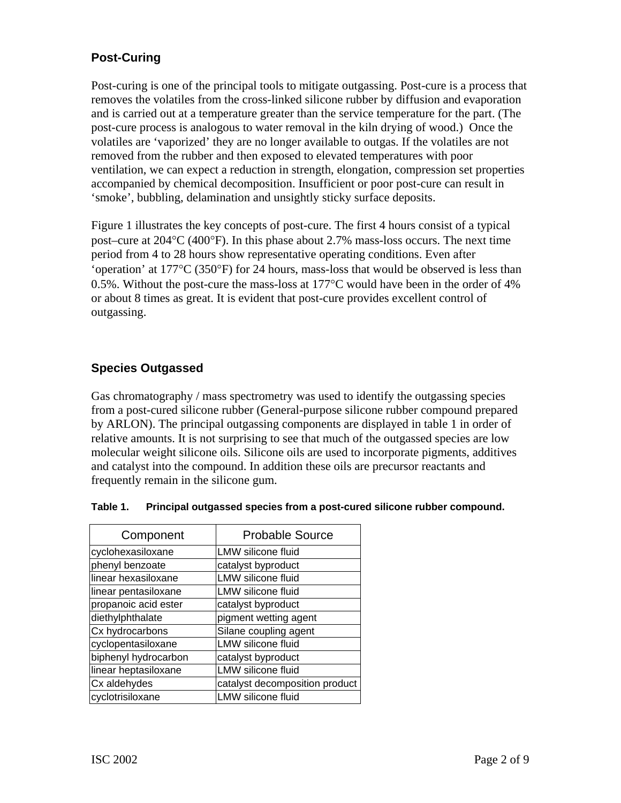# **Post-Curing**

Post-curing is one of the principal tools to mitigate outgassing. Post-cure is a process that removes the volatiles from the cross-linked silicone rubber by diffusion and evaporation and is carried out at a temperature greater than the service temperature for the part. (The post-cure process is analogous to water removal in the kiln drying of wood.) Once the volatiles are 'vaporized' they are no longer available to outgas. If the volatiles are not removed from the rubber and then exposed to elevated temperatures with poor ventilation, we can expect a reduction in strength, elongation, compression set properties accompanied by chemical decomposition. Insufficient or poor post-cure can result in 'smoke', bubbling, delamination and unsightly sticky surface deposits.

Figure 1 illustrates the key concepts of post-cure. The first 4 hours consist of a typical post–cure at 204°C (400°F). In this phase about 2.7% mass-loss occurs. The next time period from 4 to 28 hours show representative operating conditions. Even after 'operation' at 177°C (350°F) for 24 hours, mass-loss that would be observed is less than 0.5%. Without the post-cure the mass-loss at 177°C would have been in the order of 4% or about 8 times as great. It is evident that post-cure provides excellent control of outgassing.

## **Species Outgassed**

Gas chromatography / mass spectrometry was used to identify the outgassing species from a post-cured silicone rubber (General-purpose silicone rubber compound prepared by ARLON). The principal outgassing components are displayed in table 1 in order of relative amounts. It is not surprising to see that much of the outgassed species are low molecular weight silicone oils. Silicone oils are used to incorporate pigments, additives and catalyst into the compound. In addition these oils are precursor reactants and frequently remain in the silicone gum.

| Component            | <b>Probable Source</b>         |  |  |
|----------------------|--------------------------------|--|--|
| cyclohexasiloxane    | LMW silicone fluid             |  |  |
| phenyl benzoate      | catalyst byproduct             |  |  |
| linear hexasiloxane  | <b>LMW</b> silicone fluid      |  |  |
| linear pentasiloxane | <b>LMW</b> silicone fluid      |  |  |
| propanoic acid ester | catalyst byproduct             |  |  |
| diethylphthalate     | pigment wetting agent          |  |  |
| Cx hydrocarbons      | Silane coupling agent          |  |  |
| cyclopentasiloxane   | <b>LMW silicone fluid</b>      |  |  |
| biphenyl hydrocarbon | catalyst byproduct             |  |  |
| linear heptasiloxane | <b>LMW</b> silicone fluid      |  |  |
| Cx aldehydes         | catalyst decomposition product |  |  |
| cyclotrisiloxane     | <b>LMW</b> silicone fluid      |  |  |

#### **Table 1. Principal outgassed species from a post-cured silicone rubber compound.**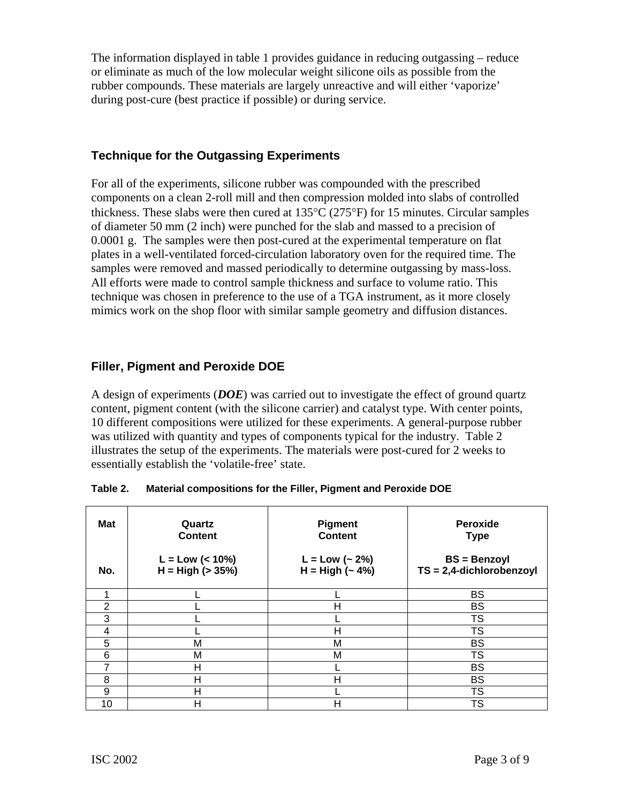The information displayed in table 1 provides guidance in reducing outgassing – reduce or eliminate as much of the low molecular weight silicone oils as possible from the rubber compounds. These materials are largely unreactive and will either 'vaporize' during post-cure (best practice if possible) or during service.

### **Technique for the Outgassing Experiments**

For all of the experiments, silicone rubber was compounded with the prescribed components on a clean 2-roll mill and then compression molded into slabs of controlled thickness. These slabs were then cured at 135°C (275°F) for 15 minutes. Circular samples of diameter 50 mm (2 inch) were punched for the slab and massed to a precision of 0.0001 g. The samples were then post-cured at the experimental temperature on flat plates in a well-ventilated forced-circulation laboratory oven for the required time. The samples were removed and massed periodically to determine outgassing by mass-loss. All efforts were made to control sample thickness and surface to volume ratio. This technique was chosen in preference to the use of a TGA instrument, as it more closely mimics work on the shop floor with similar sample geometry and diffusion distances.

### **Filler, Pigment and Peroxide DOE**

A design of experiments (*DOE*) was carried out to investigate the effect of ground quartz content, pigment content (with the silicone carrier) and catalyst type. With center points, 10 different compositions were utilized for these experiments. A general-purpose rubber was utilized with quantity and types of components typical for the industry. Table 2 illustrates the setup of the experiments. The materials were post-cured for 2 weeks to essentially establish the 'volatile-free' state.

| <b>Mat</b>     | Quartz<br><b>Content</b>                 | <b>Pigment</b><br><b>Content</b>    | Peroxide<br><b>Type</b>                            |  |
|----------------|------------------------------------------|-------------------------------------|----------------------------------------------------|--|
| No.            | $L = Low (< 10\%)$<br>$H = High (> 35%)$ | $L = Low (-2%)$<br>$H = High (-4%)$ | <b>BS</b> = Benzoyl<br>$TS = 2,4$ -dichlorobenzoyl |  |
| 4              |                                          |                                     | <b>BS</b>                                          |  |
| $\overline{2}$ |                                          | Н                                   | <b>BS</b>                                          |  |
| 3              |                                          |                                     | <b>TS</b>                                          |  |
| 4              |                                          | н                                   | <b>TS</b>                                          |  |
| 5              | M                                        | M                                   | <b>BS</b>                                          |  |
| 6              | M                                        | M                                   | <b>TS</b>                                          |  |
|                | н                                        |                                     | <b>BS</b>                                          |  |
| 8              | Н                                        | Н                                   | <b>BS</b>                                          |  |
| 9              | Н                                        |                                     | <b>TS</b>                                          |  |
| 10             | Н                                        | Н                                   | TS                                                 |  |

| Table 2. |  |  | Material compositions for the Filler, Pigment and Peroxide DOE |
|----------|--|--|----------------------------------------------------------------|
|          |  |  |                                                                |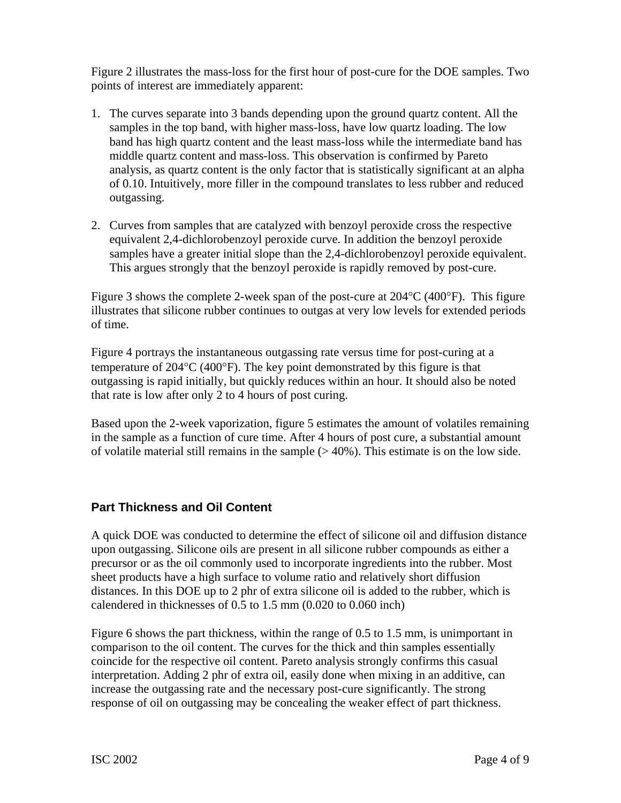Figure 2 illustrates the mass-loss for the first hour of post-cure for the DOE samples. Two points of interest are immediately apparent:

- 1. The curves separate into 3 bands depending upon the ground quartz content. All the samples in the top band, with higher mass-loss, have low quartz loading. The low band has high quartz content and the least mass-loss while the intermediate band has middle quartz content and mass-loss. This observation is confirmed by Pareto analysis, as quartz content is the only factor that is statistically significant at an alpha of 0.10. Intuitively, more filler in the compound translates to less rubber and reduced outgassing.
- 2. Curves from samples that are catalyzed with benzoyl peroxide cross the respective equivalent 2,4-dichlorobenzoyl peroxide curve. In addition the benzoyl peroxide samples have a greater initial slope than the 2,4-dichlorobenzoyl peroxide equivalent. This argues strongly that the benzoyl peroxide is rapidly removed by post-cure.

Figure 3 shows the complete 2-week span of the post-cure at  $204^{\circ}C$  (400 $^{\circ}F$ ). This figure illustrates that silicone rubber continues to outgas at very low levels for extended periods of time.

Figure 4 portrays the instantaneous outgassing rate versus time for post-curing at a temperature of 204°C (400°F). The key point demonstrated by this figure is that outgassing is rapid initially, but quickly reduces within an hour. It should also be noted that rate is low after only 2 to 4 hours of post curing.

Based upon the 2-week vaporization, figure 5 estimates the amount of volatiles remaining in the sample as a function of cure time. After 4 hours of post cure, a substantial amount of volatile material still remains in the sample  $(>40\%)$ . This estimate is on the low side.

#### **Part Thickness and Oil Content**

A quick DOE was conducted to determine the effect of silicone oil and diffusion distance upon outgassing. Silicone oils are present in all silicone rubber compounds as either a precursor or as the oil commonly used to incorporate ingredients into the rubber. Most sheet products have a high surface to volume ratio and relatively short diffusion distances. In this DOE up to 2 phr of extra silicone oil is added to the rubber, which is calendered in thicknesses of 0.5 to 1.5 mm (0.020 to 0.060 inch)

Figure 6 shows the part thickness, within the range of 0.5 to 1.5 mm, is unimportant in comparison to the oil content. The curves for the thick and thin samples essentially coincide for the respective oil content. Pareto analysis strongly confirms this casual interpretation. Adding 2 phr of extra oil, easily done when mixing in an additive, can increase the outgassing rate and the necessary post-cure significantly. The strong response of oil on outgassing may be concealing the weaker effect of part thickness.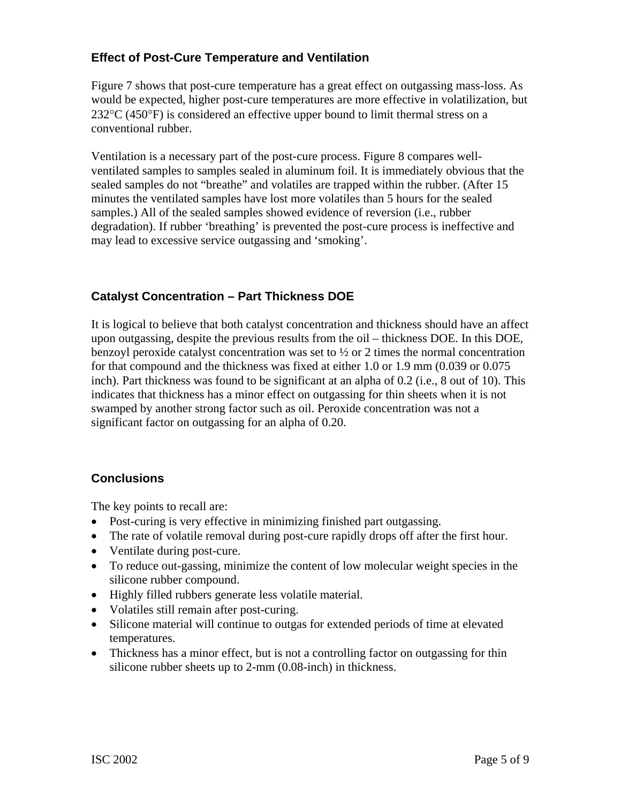## **Effect of Post-Cure Temperature and Ventilation**

Figure 7 shows that post-cure temperature has a great effect on outgassing mass-loss. As would be expected, higher post-cure temperatures are more effective in volatilization, but 232°C (450°F) is considered an effective upper bound to limit thermal stress on a conventional rubber.

Ventilation is a necessary part of the post-cure process. Figure 8 compares wellventilated samples to samples sealed in aluminum foil. It is immediately obvious that the sealed samples do not "breathe" and volatiles are trapped within the rubber. (After 15 minutes the ventilated samples have lost more volatiles than 5 hours for the sealed samples.) All of the sealed samples showed evidence of reversion (i.e., rubber degradation). If rubber 'breathing' is prevented the post-cure process is ineffective and may lead to excessive service outgassing and 'smoking'.

## **Catalyst Concentration – Part Thickness DOE**

It is logical to believe that both catalyst concentration and thickness should have an affect upon outgassing, despite the previous results from the oil – thickness DOE. In this DOE, benzoyl peroxide catalyst concentration was set to  $\frac{1}{2}$  or 2 times the normal concentration for that compound and the thickness was fixed at either 1.0 or 1.9 mm (0.039 or 0.075 inch). Part thickness was found to be significant at an alpha of 0.2 (i.e., 8 out of 10). This indicates that thickness has a minor effect on outgassing for thin sheets when it is not swamped by another strong factor such as oil. Peroxide concentration was not a significant factor on outgassing for an alpha of 0.20.

## **Conclusions**

The key points to recall are:

- Post-curing is very effective in minimizing finished part outgassing.
- The rate of volatile removal during post-cure rapidly drops off after the first hour.
- Ventilate during post-cure.
- To reduce out-gassing, minimize the content of low molecular weight species in the silicone rubber compound.
- Highly filled rubbers generate less volatile material.
- Volatiles still remain after post-curing.
- Silicone material will continue to outgas for extended periods of time at elevated temperatures.
- Thickness has a minor effect, but is not a controlling factor on outgassing for thin silicone rubber sheets up to 2-mm (0.08-inch) in thickness.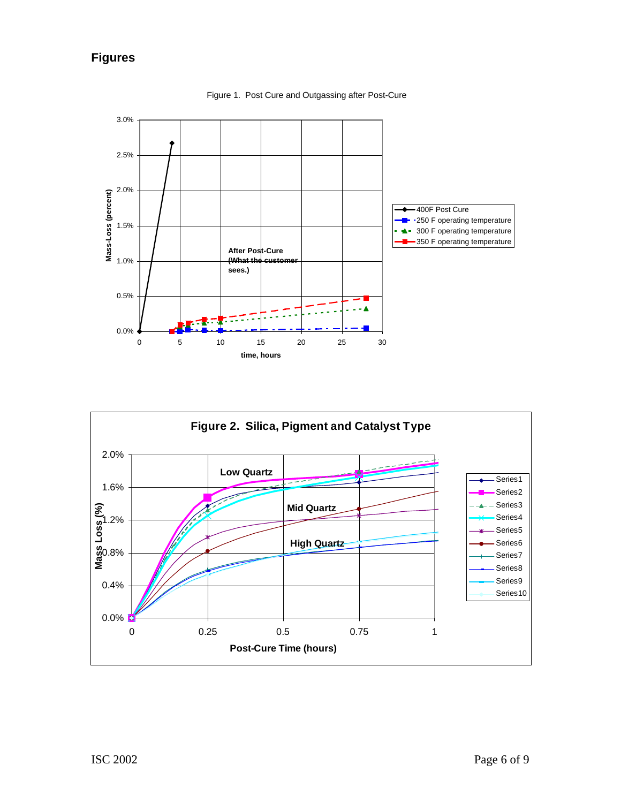# **Figures**



Figure 1. Post Cure and Outgassing after Post-Cure

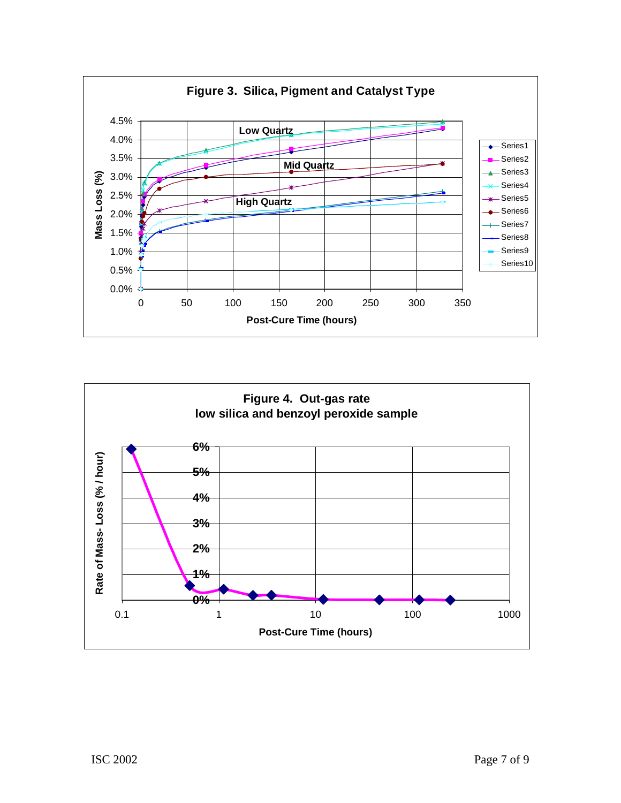

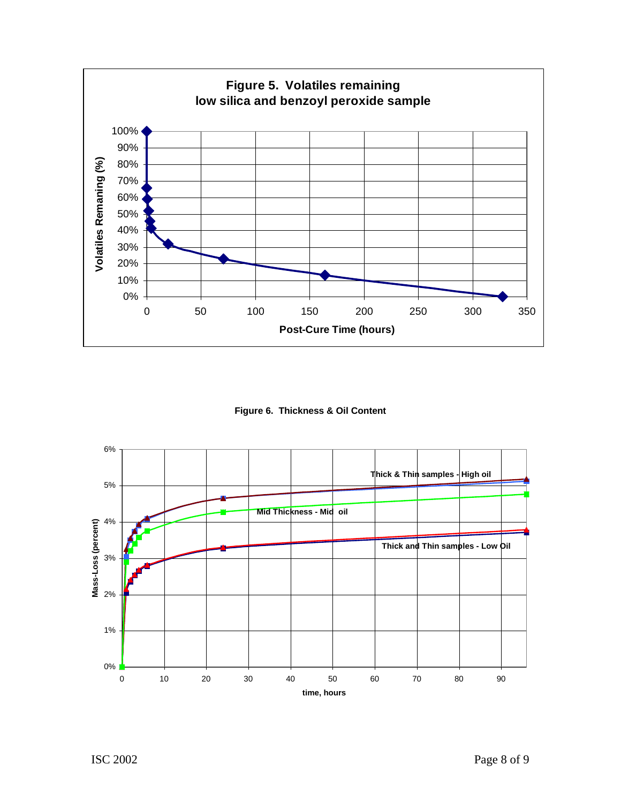

**Figure 6. Thickness & Oil Content**